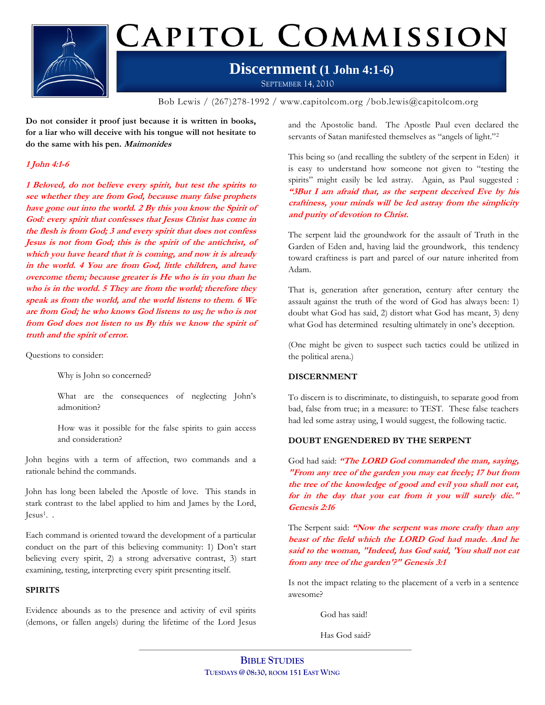

# CAPITOL COMMISSION

### **Discernment (1 John 4:1-6)** SEPTEMBER 14, 2010

Bob Lewis / (267)278-1992 / www.capitolcom.org /bob.lewis@capitolcom.org

**Do not consider it proof just because it is written in books, for a liar who will deceive with his tongue will not hesitate to do the same with his pen. Maimonides**

### **1 John 4:1-6**

**1 Beloved, do not believe every spirit, but test the spirits to see whether they are from God, because many false prophets have gone out into the world. 2 By this you know the Spirit of God: every spirit that confesses that Jesus Christ has come in the flesh is from God; 3 and every spirit that does not confess Jesus is not from God; this is the spirit of the antichrist, of which you have heard that it is coming, and now it is already in the world. 4 You are from God, little children, and have overcome them; because greater is He who is in you than he who is in the world. 5 They are from the world; therefore they speak as from the world, and the world listens to them. 6 We are from God; he who knows God listens to us; he who is not from God does not listen to us By this we know the spirit of truth and the spirit of error.**

Questions to consider:

Why is John so concerned?

What are the consequences of neglecting John's admonition?

How was it possible for the false spirits to gain access and consideration?

John begins with a term of affection, two commands and a rationale behind the commands.

John has long been labeled the Apostle of love. This stands in stark contrast to the label applied to him and James by the Lord, Jesus<sup>1</sup>. .

Each command is oriented toward the development of a particular conduct on the part of this believing community: 1) Don't start believing every spirit, 2) a strong adversative contrast, 3) start examining, testing, interpreting every spirit presenting itself.

### **SPIRITS**

Evidence abounds as to the presence and activity of evil spirits (demons, or fallen angels) during the lifetime of the Lord Jesus and the Apostolic band. The Apostle Paul even declared the servants of Satan manifested themselves as "angels of light."<sup>2</sup>

This being so (and recalling the subtlety of the serpent in Eden) it is easy to understand how someone not given to "testing the spirits" might easily be led astray. Again, as Paul suggested : **"3But I am afraid that, as the serpent deceived Eve by his craftiness, your minds will be led astray from the simplicity and purity of devotion to Christ.**

The serpent laid the groundwork for the assault of Truth in the Garden of Eden and, having laid the groundwork, this tendency toward craftiness is part and parcel of our nature inherited from Adam.

That is, generation after generation, century after century the assault against the truth of the word of God has always been: 1) doubt what God has said, 2) distort what God has meant, 3) deny what God has determined resulting ultimately in one's deception.

(One might be given to suspect such tactics could be utilized in the political arena.)

### **DISCERNMENT**

To discern is to discriminate, to distinguish, to separate good from bad, false from true; in a measure: to TEST. These false teachers had led some astray using, I would suggest, the following tactic.

### **DOUBT ENGENDERED BY THE SERPENT**

God had said: **"The LORD God commanded the man, saying, "From any tree of the garden you may eat freely; 17 but from the tree of the knowledge of good and evil you shall not eat, for in the day that you eat from it you will surely die." Genesis 2:16** 

The Serpent said: **"Now the serpent was more crafty than any beast of the field which the LORD God had made. And he said to the woman, "Indeed, has God said, 'You shall not eat from any tree of the garden'?" Genesis 3:1**

Is not the impact relating to the placement of a verb in a sentence awesome?

God has said!

Has God said?